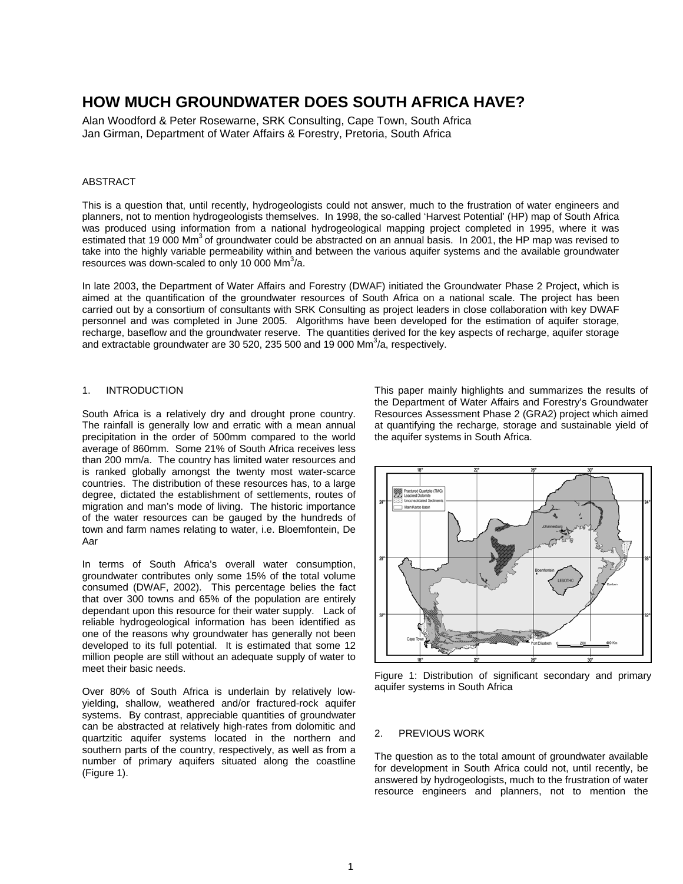# **HOW MUCH GROUNDWATER DOES SOUTH AFRICA HAVE?**

Alan Woodford & Peter Rosewarne, SRK Consulting, Cape Town, South Africa Jan Girman, Department of Water Affairs & Forestry, Pretoria, South Africa

## ABSTRACT

This is a question that, until recently, hydrogeologists could not answer, much to the frustration of water engineers and planners, not to mention hydrogeologists themselves. In 1998, the so-called 'Harvest Potential' (HP) map of South Africa was produced using information from a national hydrogeological mapping project completed in 1995, where it was estimated that 19,000 Mm<sup>3</sup> of groundwater could be abstracted on an annual basis. In 2001, the HP map was revised to take into the highly variable permeability within and between the various aquifer systems and the available groundwater resources was down-scaled to only 10 000 Mm $3/2$ .

In late 2003, the Department of Water Affairs and Forestry (DWAF) initiated the Groundwater Phase 2 Project, which is aimed at the quantification of the groundwater resources of South Africa on a national scale. The project has been carried out by a consortium of consultants with SRK Consulting as project leaders in close collaboration with key DWAF personnel and was completed in June 2005. Algorithms have been developed for the estimation of aquifer storage, recharge, baseflow and the groundwater reserve. The quantities derived for the key aspects of recharge, aquifer storage and extractable groundwater are 30 520, 235 500 and 19 000 Mm $3/$ a, respectively.

## 1. INTRODUCTION

South Africa is a relatively dry and drought prone country. The rainfall is generally low and erratic with a mean annual precipitation in the order of 500mm compared to the world average of 860mm. Some 21% of South Africa receives less than 200 mm/a. The country has limited water resources and is ranked globally amongst the twenty most water-scarce countries. The distribution of these resources has, to a large degree, dictated the establishment of settlements, routes of migration and man's mode of living. The historic importance of the water resources can be gauged by the hundreds of town and farm names relating to water, i.e. Bloemfontein, De Aar

In terms of South Africa's overall water consumption, groundwater contributes only some 15% of the total volume consumed (DWAF, 2002). This percentage belies the fact that over 300 towns and 65% of the population are entirely dependant upon this resource for their water supply. Lack of reliable hydrogeological information has been identified as one of the reasons why groundwater has generally not been developed to its full potential. It is estimated that some 12 million people are still without an adequate supply of water to meet their basic needs.

Over 80% of South Africa is underlain by relatively lowyielding, shallow, weathered and/or fractured-rock aquifer systems. By contrast, appreciable quantities of groundwater can be abstracted at relatively high-rates from dolomitic and quartzitic aquifer systems located in the northern and southern parts of the country, respectively, as well as from a number of primary aquifers situated along the coastline (Figure 1).

This paper mainly highlights and summarizes the results of the Department of Water Affairs and Forestry's Groundwater Resources Assessment Phase 2 (GRA2) project which aimed at quantifying the recharge, storage and sustainable yield of the aquifer systems in South Africa.



Figure 1: Distribution of significant secondary and primary aquifer systems in South Africa

### 2. PREVIOUS WORK

The question as to the total amount of groundwater available for development in South Africa could not, until recently, be answered by hydrogeologists, much to the frustration of water resource engineers and planners, not to mention the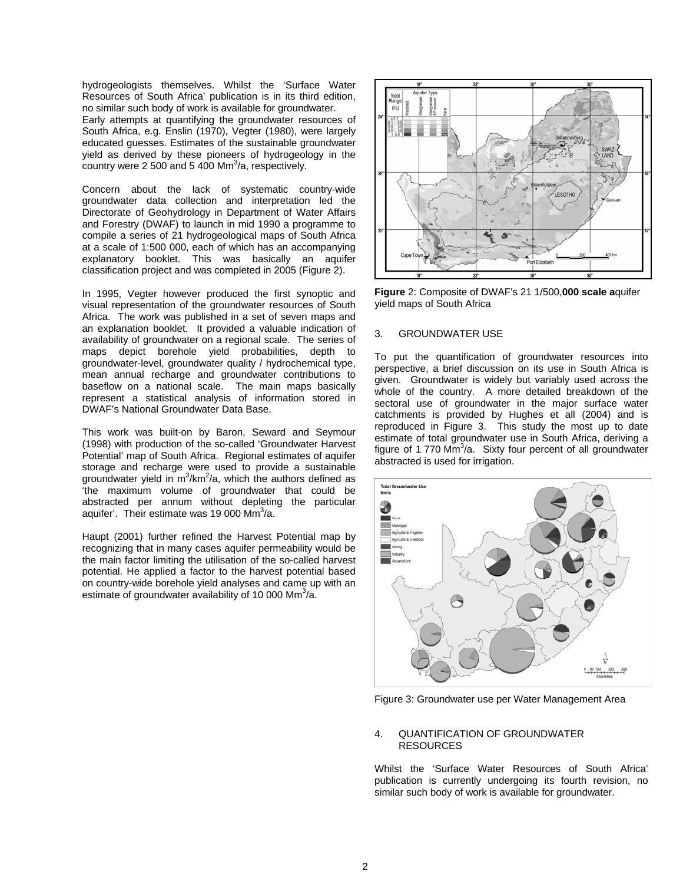hydrogeologists themselves. Whilst the 'Surface Water Resources of South Africa' publication is in its third edition, no similar such body of work is available for groundwater. Early attempts at quantifying the groundwater resources of South Africa, e.g. Enslin (1970), Vegter (1980), were largely educated guesses. Estimates of the sustainable groundwater yield as derived by these pioneers of hydrogeology in the country were 2 500 and 5 400 Mm $3/$ a, respectively.

Concern about the lack of systematic country-wide groundwater data collection and interpretation led the Directorate of Geohydrology in Department of Water Affairs and Forestry (DWAF) to launch in mid 1990 a programme to compile a series of 21 hydrogeological maps of South Africa at a scale of 1:500 000, each of which has an accompanying explanatory booklet. This was basically an aquifer classification project and was completed in 2005 (Figure 2).

In 1995, Vegter however produced the first synoptic and visual representation of the groundwater resources of South Africa. The work was published in a set of seven maps and an explanation booklet. It provided a valuable indication of availability of groundwater on a regional scale. The series of maps depict borehole yield probabilities, depth to groundwater-level, groundwater quality / hydrochemical type, mean annual recharge and groundwater contributions to baseflow on a national scale. The main maps basically represent a statistical analysis of information stored in DWAF's National Groundwater Data Base.

This work was built-on by Baron, Seward and Seymour (1998) with production of the so-called 'Groundwater Harvest Potential' map of South Africa. Regional estimates of aquifer storage and recharge were used to provide a sustainable groundwater yield in  $m^3/km^2/a$ , which the authors defined as 'the maximum volume of groundwater that could be abstracted per annum without depleting the particular aquifer'. Their estimate was 19 000 Mm $3/$ a.

Haupt (2001) further refined the Harvest Potential map by recognizing that in many cases aquifer permeability would be the main factor limiting the utilisation of the so-called harvest potential. He applied a factor to the harvest potential based on country-wide borehole yield analyses and came up with an estimate of groundwater availability of 10 000 Mm<sup>3</sup>/a.



**Figure** 2: Composite of DWAF's 21 1/500,**000 scale a**quifer yield maps of South Africa

## 3. GROUNDWATER USE

To put the quantification of groundwater resources into perspective, a brief discussion on its use in South Africa is given. Groundwater is widely but variably used across the whole of the country. A more detailed breakdown of the sectoral use of groundwater in the major surface water catchments is provided by Hughes et all (2004) and is reproduced in Figure 3. This study the most up to date estimate of total groundwater use in South Africa, deriving a figure of 1 770  $\text{Mm}^3$ /a. Sixty four percent of all groundwater abstracted is used for irrigation.



Figure 3: Groundwater use per Water Management Area

#### 4. QUANTIFICATION OF GROUNDWATER RESOURCES

Whilst the 'Surface Water Resources of South Africa' publication is currently undergoing its fourth revision, no similar such body of work is available for groundwater.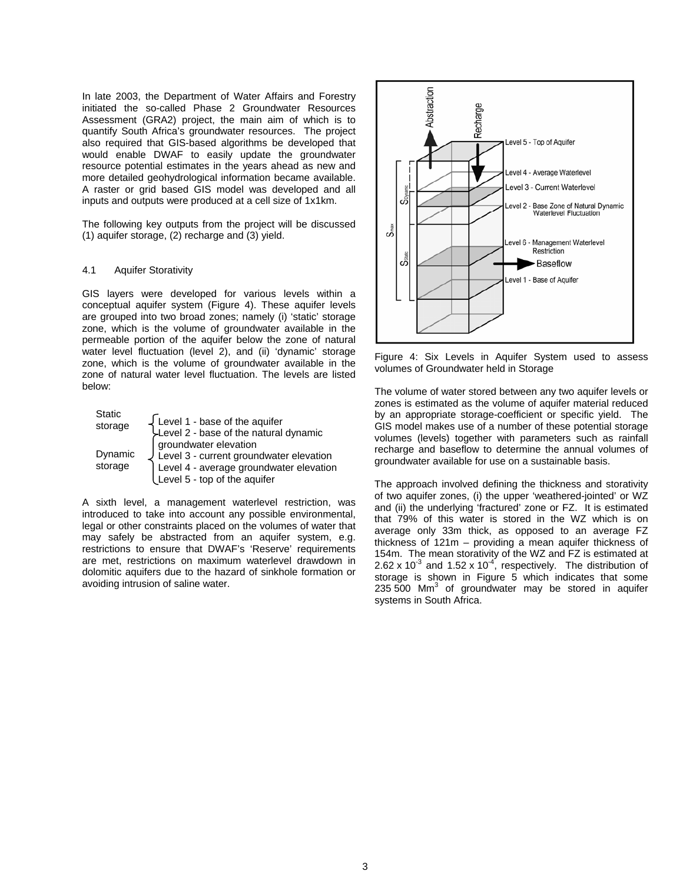In late 2003, the Department of Water Affairs and Forestry initiated the so-called Phase 2 Groundwater Resources Assessment (GRA2) project, the main aim of which is to quantify South Africa's groundwater resources. The project also required that GIS-based algorithms be developed that would enable DWAF to easily update the groundwater resource potential estimates in the years ahead as new and more detailed geohydrological information became available. A raster or grid based GIS model was developed and all inputs and outputs were produced at a cell size of 1x1km.

The following key outputs from the project will be discussed (1) aquifer storage, (2) recharge and (3) yield.

# 4.1 Aquifer Storativity

GIS layers were developed for various levels within a conceptual aquifer system (Figure 4). These aquifer levels are grouped into two broad zones; namely (i) 'static' storage zone, which is the volume of groundwater available in the permeable portion of the aquifer below the zone of natural water level fluctuation (level 2), and (ii) 'dynamic' storage zone, which is the volume of groundwater available in the zone of natural water level fluctuation. The levels are listed below:

| <b>Static</b><br>storage | Level 1 - base of the aquifer<br>Level 2 - base of the natural dynamic                                             |
|--------------------------|--------------------------------------------------------------------------------------------------------------------|
| Dynamic                  | groundwater elevation                                                                                              |
| storage                  | Level 3 - current groundwater elevation<br>Level 4 - average groundwater elevation<br>Level 5 - top of the aquifer |

A sixth level, a management waterlevel restriction, was introduced to take into account any possible environmental, legal or other constraints placed on the volumes of water that may safely be abstracted from an aquifer system, e.g. restrictions to ensure that DWAF's 'Reserve' requirements are met, restrictions on maximum waterlevel drawdown in dolomitic aquifers due to the hazard of sinkhole formation or avoiding intrusion of saline water.



Figure 4: Six Levels in Aquifer System used to assess volumes of Groundwater held in Storage

The volume of water stored between any two aquifer levels or zones is estimated as the volume of aquifer material reduced by an appropriate storage-coefficient or specific yield. The GIS model makes use of a number of these potential storage volumes (levels) together with parameters such as rainfall recharge and baseflow to determine the annual volumes of groundwater available for use on a sustainable basis.

The approach involved defining the thickness and storativity of two aquifer zones, (i) the upper 'weathered-jointed' or WZ and (ii) the underlying 'fractured' zone or FZ. It is estimated that 79% of this water is stored in the WZ which is on average only 33m thick, as opposed to an average FZ thickness of 121m – providing a mean aquifer thickness of 154m. The mean storativity of the WZ and FZ is estimated at 2.62 x 10<sup>-3</sup> and 1.52 x 10<sup>-4</sup>, respectively. The distribution of storage is shown in Figure 5 which indicates that some 235  $500$  Mm<sup>3</sup> of groundwater may be stored in aquifer systems in South Africa.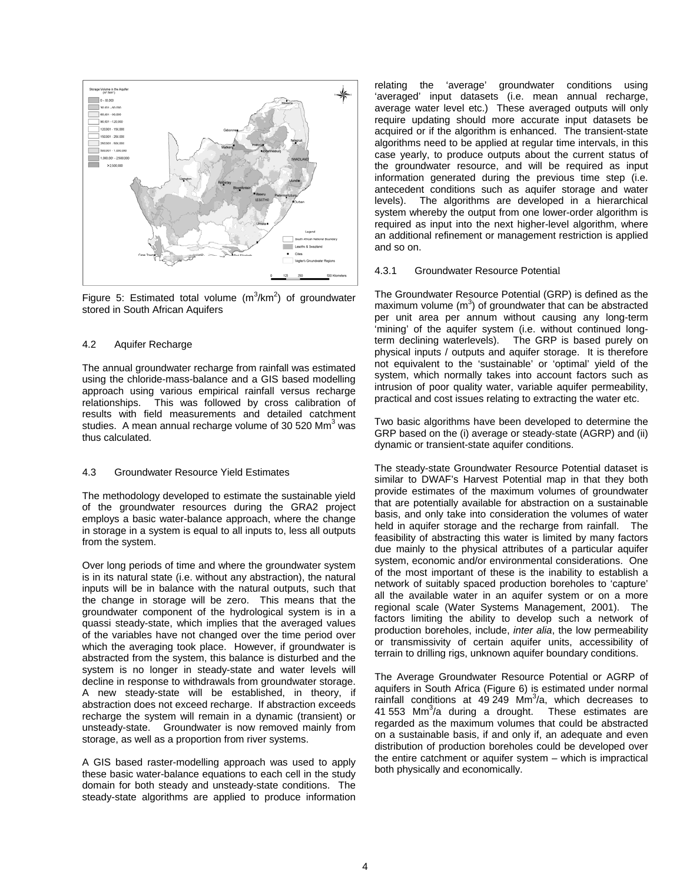

Figure 5: Estimated total volume  $(m^3/km^2)$  of groundwater stored in South African Aquifers

## 4.2 Aquifer Recharge

The annual groundwater recharge from rainfall was estimated using the chloride-mass-balance and a GIS based modelling approach using various empirical rainfall versus recharge relationships. This was followed by cross calibration of results with field measurements and detailed catchment studies. A mean annual recharge volume of 30 520 Mm $^3$  was thus calculated.

## 4.3 Groundwater Resource Yield Estimates

The methodology developed to estimate the sustainable yield of the groundwater resources during the GRA2 project employs a basic water-balance approach, where the change in storage in a system is equal to all inputs to, less all outputs from the system.

Over long periods of time and where the groundwater system is in its natural state (i.e. without any abstraction), the natural inputs will be in balance with the natural outputs, such that the change in storage will be zero. This means that the groundwater component of the hydrological system is in a quassi steady-state, which implies that the averaged values of the variables have not changed over the time period over which the averaging took place. However, if groundwater is abstracted from the system, this balance is disturbed and the system is no longer in steady-state and water levels will decline in response to withdrawals from groundwater storage. A new steady-state will be established, in theory, if abstraction does not exceed recharge. If abstraction exceeds recharge the system will remain in a dynamic (transient) or unsteady-state. Groundwater is now removed mainly from storage, as well as a proportion from river systems.

A GIS based raster-modelling approach was used to apply these basic water-balance equations to each cell in the study domain for both steady and unsteady-state conditions. The steady-state algorithms are applied to produce information

relating the 'average' groundwater conditions using 'averaged' input datasets (i.e. mean annual recharge, average water level etc.) These averaged outputs will only require updating should more accurate input datasets be acquired or if the algorithm is enhanced. The transient-state algorithms need to be applied at regular time intervals, in this case yearly, to produce outputs about the current status of the groundwater resource, and will be required as input information generated during the previous time step (i.e. antecedent conditions such as aquifer storage and water levels). The algorithms are developed in a hierarchical system whereby the output from one lower-order algorithm is required as input into the next higher-level algorithm, where an additional refinement or management restriction is applied and so on.

### 4.3.1 Groundwater Resource Potential

The Groundwater Resource Potential (GRP) is defined as the maximum volume  $(m^3)$  of groundwater that can be abstracted per unit area per annum without causing any long-term 'mining' of the aquifer system (i.e. without continued longterm declining waterlevels). The GRP is based purely on physical inputs / outputs and aquifer storage. It is therefore not equivalent to the 'sustainable' or 'optimal' yield of the system, which normally takes into account factors such as intrusion of poor quality water, variable aquifer permeability, practical and cost issues relating to extracting the water etc.

Two basic algorithms have been developed to determine the GRP based on the (i) average or steady-state (AGRP) and (ii) dynamic or transient-state aquifer conditions.

The steady-state Groundwater Resource Potential dataset is similar to DWAF's Harvest Potential map in that they both provide estimates of the maximum volumes of groundwater that are potentially available for abstraction on a sustainable basis, and only take into consideration the volumes of water held in aquifer storage and the recharge from rainfall. The feasibility of abstracting this water is limited by many factors due mainly to the physical attributes of a particular aquifer system, economic and/or environmental considerations. One of the most important of these is the inability to establish a network of suitably spaced production boreholes to 'capture' all the available water in an aquifer system or on a more regional scale (Water Systems Management, 2001). The factors limiting the ability to develop such a network of production boreholes, include, *inter alia*, the low permeability or transmissivity of certain aquifer units, accessibility of terrain to drilling rigs, unknown aquifer boundary conditions.

The Average Groundwater Resource Potential or AGRP of aquifers in South Africa (Figure 6) is estimated under normal rainfall conditions at  $49,249$  Mm<sup>3</sup>/a, which decreases to 41 553  $\text{Mm}^3$ /a during a drought. These estimates are regarded as the maximum volumes that could be abstracted on a sustainable basis, if and only if, an adequate and even distribution of production boreholes could be developed over the entire catchment or aquifer system – which is impractical both physically and economically.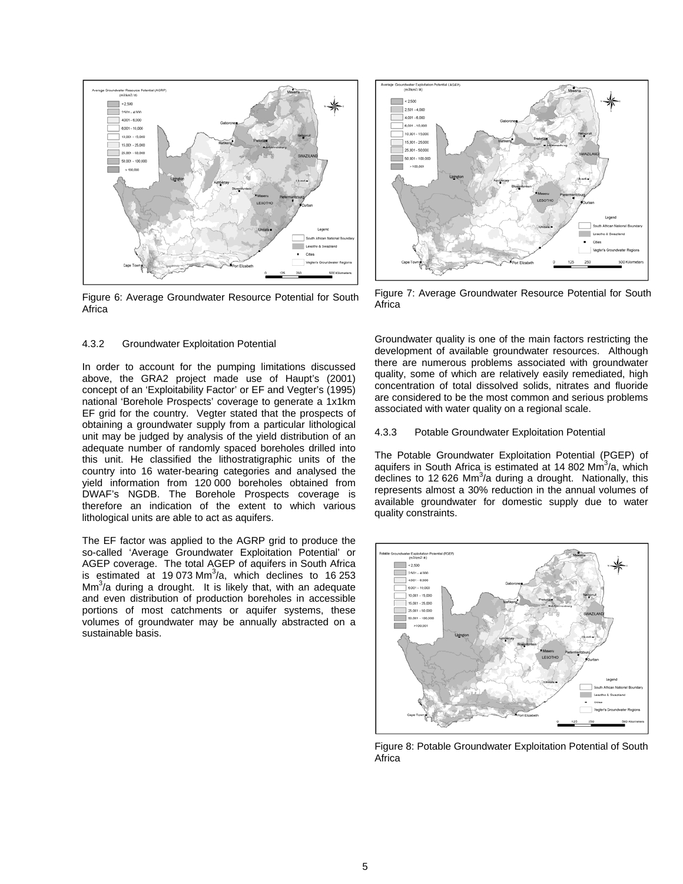

Figure 6: Average Groundwater Resource Potential for South Africa

## 4.3.2 Groundwater Exploitation Potential

In order to account for the pumping limitations discussed above, the GRA2 project made use of Haupt's (2001) concept of an 'Exploitability Factor' or EF and Vegter's (1995) national 'Borehole Prospects' coverage to generate a 1x1km EF grid for the country. Vegter stated that the prospects of obtaining a groundwater supply from a particular lithological unit may be judged by analysis of the yield distribution of an adequate number of randomly spaced boreholes drilled into this unit. He classified the lithostratigraphic units of the country into 16 water-bearing categories and analysed the yield information from 120,000 boreholes obtained from DWAF's NGDB. The Borehole Prospects coverage is therefore an indication of the extent to which various lithological units are able to act as aquifers.

The EF factor was applied to the AGRP grid to produce the so-called 'Average Groundwater Exploitation Potential' or AGEP coverage. The total AGEP of aquifers in South Africa is estimated at 19 073 Mm $3/2$ , which declines to 16 253  $\text{Mm}^3$ /a during a drought. It is likely that, with an adequate and even distribution of production boreholes in accessible portions of most catchments or aquifer systems, these volumes of groundwater may be annually abstracted on a sustainable basis.



Figure 7: Average Groundwater Resource Potential for South Africa

Groundwater quality is one of the main factors restricting the development of available groundwater resources. Although there are numerous problems associated with groundwater quality, some of which are relatively easily remediated, high concentration of total dissolved solids, nitrates and fluoride are considered to be the most common and serious problems associated with water quality on a regional scale.

4.3.3 Potable Groundwater Exploitation Potential

The Potable Groundwater Exploitation Potential (PGEP) of aquifers in South Africa is estimated at 14 802 Mm<sup>3</sup>/a, which declines to 12 626 Mm $3/2$  during a drought. Nationally, this represents almost a 30% reduction in the annual volumes of available groundwater for domestic supply due to water quality constraints.



Figure 8: Potable Groundwater Exploitation Potential of South Africa